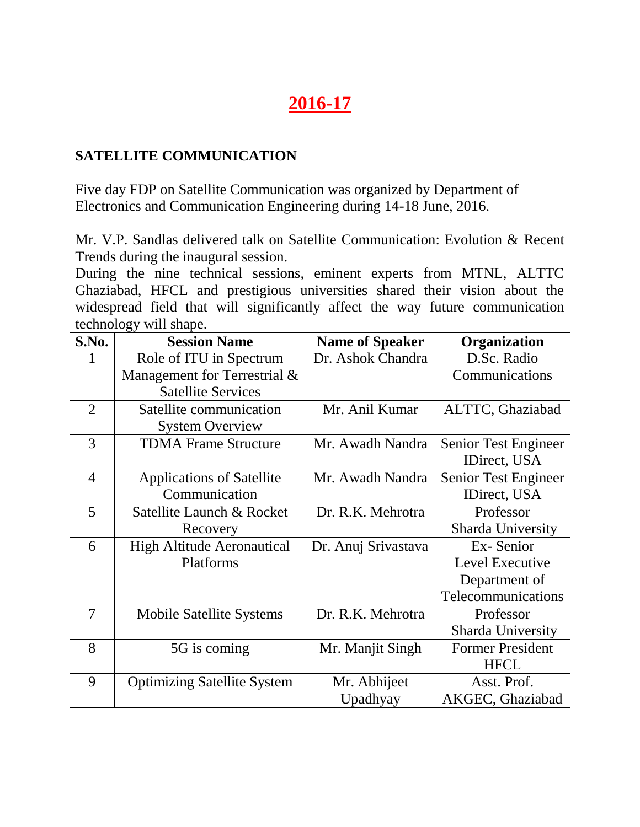# **2016-17**

#### **SATELLITE COMMUNICATION**

Five day FDP on Satellite Communication was organized by Department of Electronics and Communication Engineering during 14-18 June, 2016.

Mr. V.P. Sandlas delivered talk on Satellite Communication: Evolution & Recent Trends during the inaugural session.

During the nine technical sessions, eminent experts from MTNL, ALTTC Ghaziabad, HFCL and prestigious universities shared their vision about the widespread field that will significantly affect the way future communication technology will shape.

| S.No.          | <b>Session Name</b>                | <b>Name of Speaker</b> | Organization             |
|----------------|------------------------------------|------------------------|--------------------------|
|                | Role of ITU in Spectrum            | Dr. Ashok Chandra      | D.Sc. Radio              |
|                | Management for Terrestrial &       |                        | Communications           |
|                | <b>Satellite Services</b>          |                        |                          |
| $\overline{2}$ | Satellite communication            | Mr. Anil Kumar         | ALTTC, Ghaziabad         |
|                | <b>System Overview</b>             |                        |                          |
| 3              | <b>TDMA Frame Structure</b>        | Mr. Awadh Nandra       | Senior Test Engineer     |
|                |                                    |                        | IDirect, USA             |
| $\overline{4}$ | <b>Applications of Satellite</b>   | Mr. Awadh Nandra       | Senior Test Engineer     |
|                | Communication                      |                        | IDirect, USA             |
| 5              | Satellite Launch & Rocket          | Dr. R.K. Mehrotra      | Professor                |
|                | Recovery                           |                        | <b>Sharda University</b> |
| 6              | <b>High Altitude Aeronautical</b>  | Dr. Anuj Srivastava    | Ex-Senior                |
|                | Platforms                          |                        | Level Executive          |
|                |                                    |                        | Department of            |
|                |                                    |                        | Telecommunications       |
| 7              | <b>Mobile Satellite Systems</b>    | Dr. R.K. Mehrotra      | Professor                |
|                |                                    |                        | <b>Sharda University</b> |
| 8              | 5G is coming                       | Mr. Manjit Singh       | <b>Former President</b>  |
|                |                                    |                        | <b>HFCL</b>              |
| 9              | <b>Optimizing Satellite System</b> | Mr. Abhijeet           | Asst. Prof.              |
|                |                                    | Upadhyay               | AKGEC, Ghaziabad         |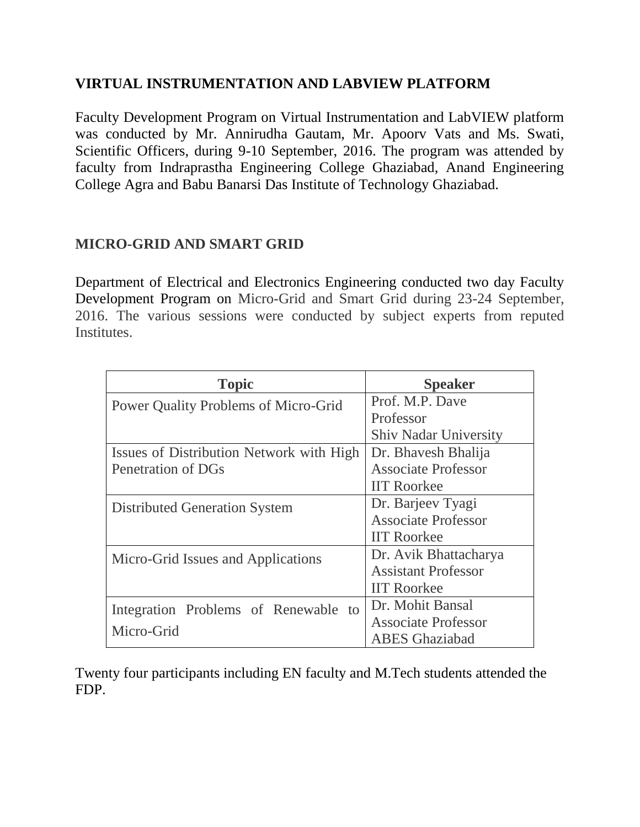#### **VIRTUAL INSTRUMENTATION AND LABVIEW PLATFORM**

Faculty Development Program on Virtual Instrumentation and LabVIEW platform was conducted by Mr. Annirudha Gautam, Mr. Apoorv Vats and Ms. Swati, Scientific Officers, during 9-10 September, 2016. The program was attended by faculty from Indraprastha Engineering College Ghaziabad, Anand Engineering College Agra and Babu Banarsi Das Institute of Technology Ghaziabad.

#### **MICRO-GRID AND SMART GRID**

Department of Electrical and Electronics Engineering conducted two day Faculty Development Program on Micro-Grid and Smart Grid during 23-24 September, 2016. The various sessions were conducted by subject experts from reputed Institutes.

| <b>Topic</b>                             | <b>Speaker</b>               |
|------------------------------------------|------------------------------|
| Power Quality Problems of Micro-Grid     | Prof. M.P. Dave              |
|                                          | Professor                    |
|                                          | <b>Shiv Nadar University</b> |
| Issues of Distribution Network with High | Dr. Bhavesh Bhalija          |
| Penetration of DGs                       | <b>Associate Professor</b>   |
|                                          | <b>IIT Roorkee</b>           |
| <b>Distributed Generation System</b>     | Dr. Barjeev Tyagi            |
|                                          | <b>Associate Professor</b>   |
|                                          | <b>IIT Roorkee</b>           |
| Micro-Grid Issues and Applications       | Dr. Avik Bhattacharya        |
|                                          | <b>Assistant Professor</b>   |
|                                          | <b>IIT Roorkee</b>           |
| Integration Problems of Renewable to     | Dr. Mohit Bansal             |
| Micro-Grid                               | <b>Associate Professor</b>   |
|                                          | <b>ABES</b> Ghaziabad        |

Twenty four participants including EN faculty and M.Tech students attended the FDP.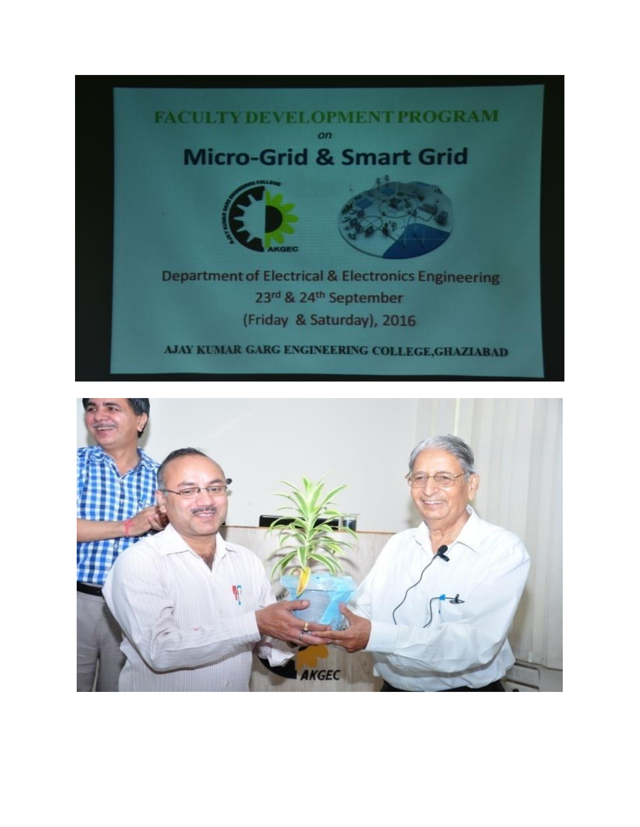

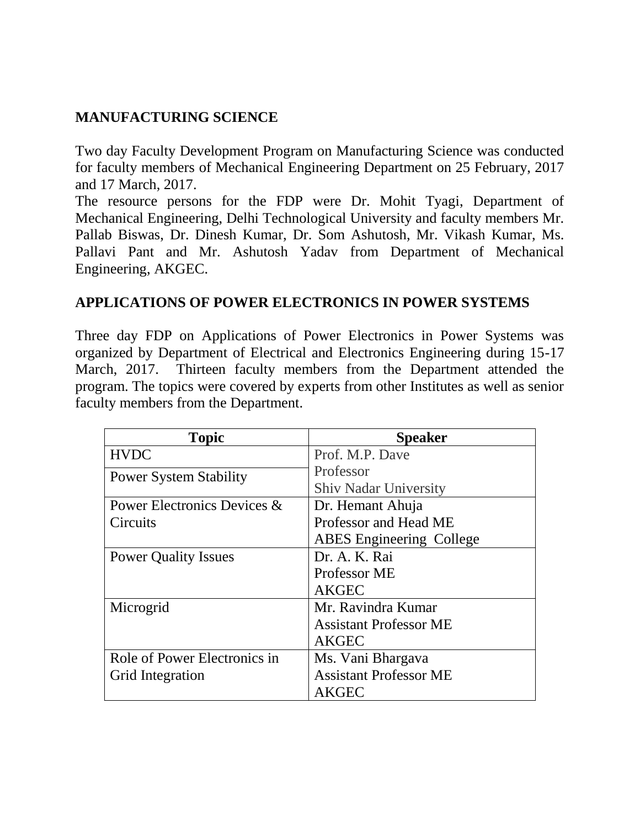### **MANUFACTURING SCIENCE**

Two day Faculty Development Program on Manufacturing Science was conducted for faculty members of Mechanical Engineering Department on 25 February, 2017 and 17 March, 2017.

The resource persons for the FDP were Dr. Mohit Tyagi, Department of Mechanical Engineering, Delhi Technological University and faculty members Mr. Pallab Biswas, Dr. Dinesh Kumar, Dr. Som Ashutosh, Mr. Vikash Kumar, Ms. Pallavi Pant and Mr. Ashutosh Yadav from Department of Mechanical Engineering, AKGEC.

#### **APPLICATIONS OF POWER ELECTRONICS IN POWER SYSTEMS**

Three day FDP on Applications of Power Electronics in Power Systems was organized by Department of Electrical and Electronics Engineering during 15-17 March, 2017. Thirteen faculty members from the Department attended the program. The topics were covered by experts from other Institutes as well as senior faculty members from the Department.

| <b>Topic</b>                  | <b>Speaker</b>                  |
|-------------------------------|---------------------------------|
| <b>HVDC</b>                   | Prof. M.P. Dave                 |
| <b>Power System Stability</b> | Professor                       |
|                               | <b>Shiv Nadar University</b>    |
| Power Electronics Devices &   | Dr. Hemant Ahuja                |
| Circuits                      | Professor and Head ME           |
|                               | <b>ABES</b> Engineering College |
| <b>Power Quality Issues</b>   | Dr. A. K. Rai                   |
|                               | Professor ME                    |
|                               | <b>AKGEC</b>                    |
| Microgrid                     | Mr. Ravindra Kumar              |
|                               | <b>Assistant Professor ME</b>   |
|                               | <b>AKGEC</b>                    |
| Role of Power Electronics in  | Ms. Vani Bhargava               |
| Grid Integration              | <b>Assistant Professor ME</b>   |
|                               | <b>AKGEC</b>                    |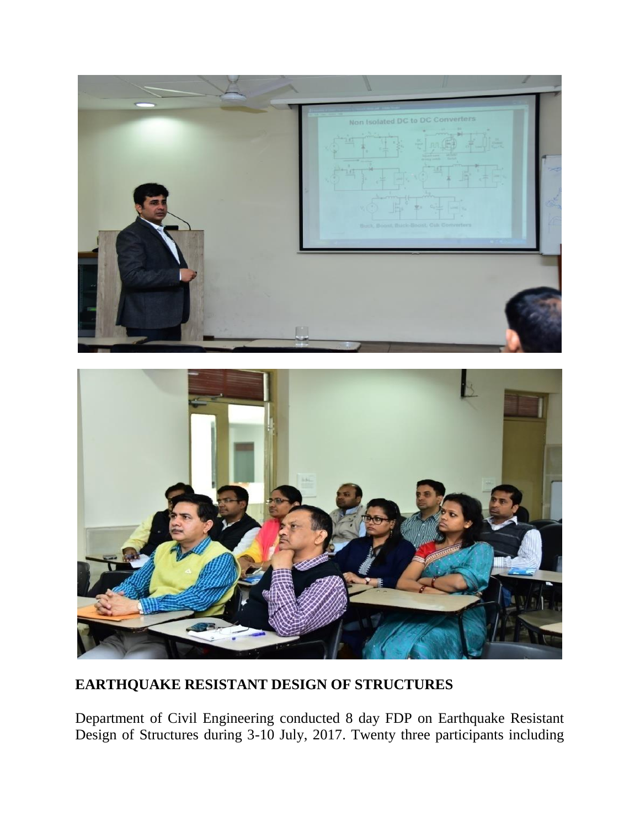



## **EARTHQUAKE RESISTANT DESIGN OF STRUCTURES**

Department of Civil Engineering conducted 8 day FDP on Earthquake Resistant Design of Structures during 3-10 July, 2017. Twenty three participants including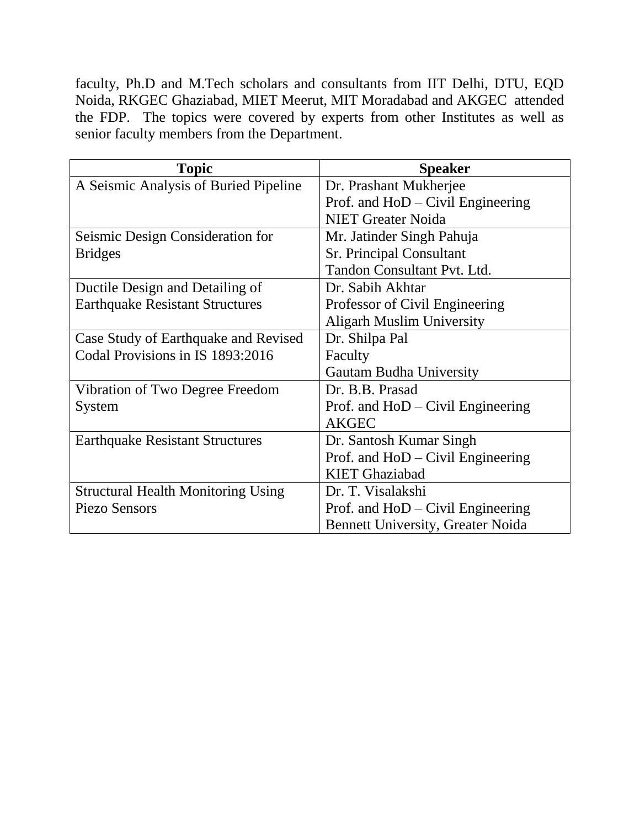faculty, Ph.D and M.Tech scholars and consultants from IIT Delhi, DTU, EQD Noida, RKGEC Ghaziabad, MIET Meerut, MIT Moradabad and AKGEC attended the FDP. The topics were covered by experts from other Institutes as well as senior faculty members from the Department.

| <b>Topic</b>                              | <b>Speaker</b>                           |
|-------------------------------------------|------------------------------------------|
| A Seismic Analysis of Buried Pipeline     | Dr. Prashant Mukherjee                   |
|                                           | Prof. and HoD – Civil Engineering        |
|                                           | <b>NIET Greater Noida</b>                |
| Seismic Design Consideration for          | Mr. Jatinder Singh Pahuja                |
| <b>Bridges</b>                            | <b>Sr. Principal Consultant</b>          |
|                                           | Tandon Consultant Pvt. Ltd.              |
| Ductile Design and Detailing of           | Dr. Sabih Akhtar                         |
| <b>Earthquake Resistant Structures</b>    | Professor of Civil Engineering           |
|                                           | <b>Aligarh Muslim University</b>         |
| Case Study of Earthquake and Revised      | Dr. Shilpa Pal                           |
| Codal Provisions in IS 1893:2016          | Faculty                                  |
|                                           | Gautam Budha University                  |
| Vibration of Two Degree Freedom           | Dr. B.B. Prasad                          |
| System                                    | Prof. and $HoD - Civil$ Engineering      |
|                                           | <b>AKGEC</b>                             |
| <b>Earthquake Resistant Structures</b>    | Dr. Santosh Kumar Singh                  |
|                                           | Prof. and HoD – Civil Engineering        |
|                                           | <b>KIET</b> Ghaziabad                    |
| <b>Structural Health Monitoring Using</b> | Dr. T. Visalakshi                        |
| <b>Piezo Sensors</b>                      | Prof. and HoD – Civil Engineering        |
|                                           | <b>Bennett University, Greater Noida</b> |